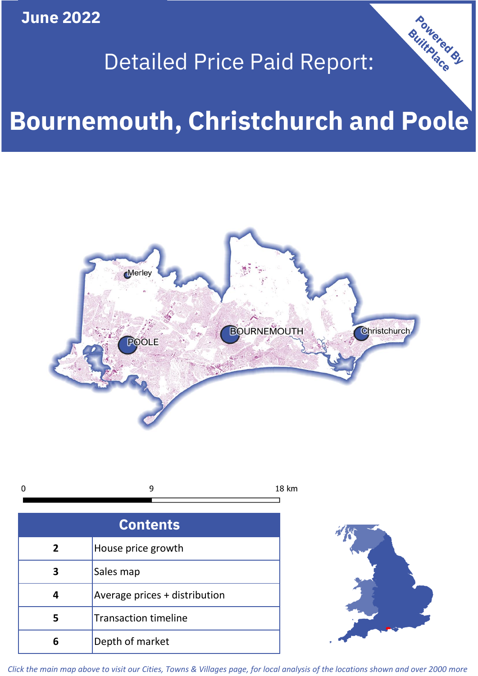**June 2022**

## Detailed Price Paid Report:

# **Bournemouth, Christchurch and Poole**



|  | .m |
|--|----|
|  |    |

| <b>Contents</b> |                               |  |  |  |  |
|-----------------|-------------------------------|--|--|--|--|
|                 |                               |  |  |  |  |
| 2               | House price growth            |  |  |  |  |
|                 | Sales map                     |  |  |  |  |
|                 | Average prices + distribution |  |  |  |  |
|                 | <b>Transaction timeline</b>   |  |  |  |  |
| 6               | Depth of market               |  |  |  |  |



Powered By

*Click the main map above to visit our Cities, Towns & Villages page, for local analysis of the locations shown and over 2000 more*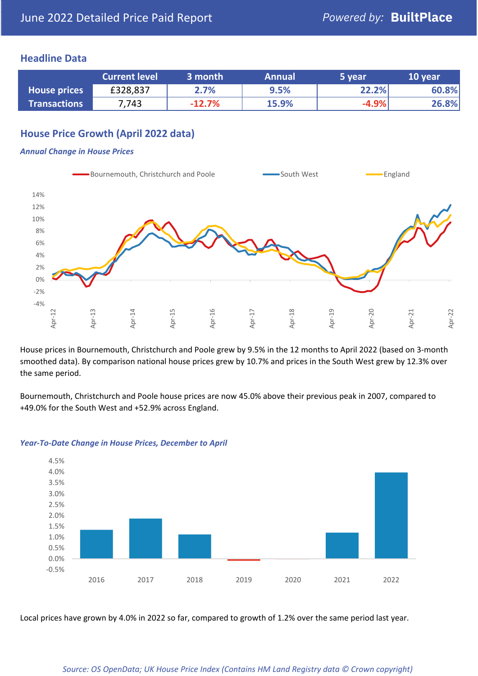#### **Headline Data**

|                     | <b>Current level</b> | 3 month  | <b>Annual</b> | '5 year | 10 year |
|---------------------|----------------------|----------|---------------|---------|---------|
| <b>House prices</b> | £328,837             | 2.7%     | 9.5%          | 22.2%   | 60.8%   |
| <b>Transactions</b> | 7,743                | $-12.7%$ | 15.9%         | $-4.9%$ | 26.8%   |

## **House Price Growth (April 2022 data)**

#### *Annual Change in House Prices*



House prices in Bournemouth, Christchurch and Poole grew by 9.5% in the 12 months to April 2022 (based on 3-month smoothed data). By comparison national house prices grew by 10.7% and prices in the South West grew by 12.3% over the same period.

Bournemouth, Christchurch and Poole house prices are now 45.0% above their previous peak in 2007, compared to +49.0% for the South West and +52.9% across England.



#### *Year-To-Date Change in House Prices, December to April*

Local prices have grown by 4.0% in 2022 so far, compared to growth of 1.2% over the same period last year.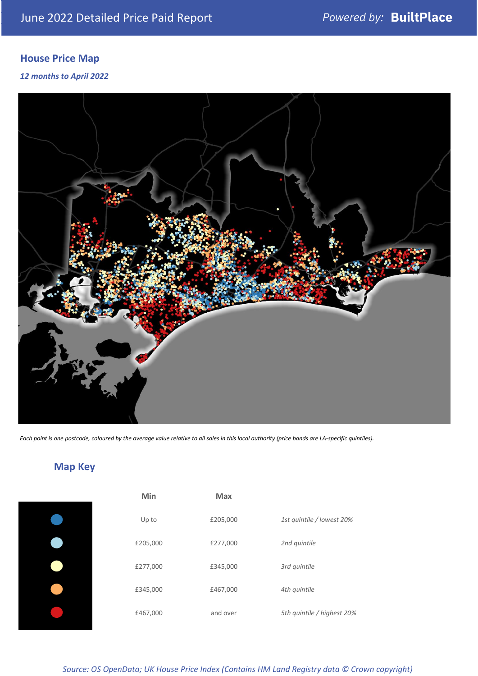## **House Price Map**

*12 months to April 2022*



*Each point is one postcode, coloured by the average value relative to all sales in this local authority (price bands are LA-specific quintiles).*

## **Map Key**

| Min      | <b>Max</b> |                            |
|----------|------------|----------------------------|
| Up to    | £205,000   | 1st quintile / lowest 20%  |
| £205,000 | £277,000   | 2nd quintile               |
| £277,000 | £345,000   | 3rd quintile               |
| £345,000 | £467,000   | 4th quintile               |
| £467,000 | and over   | 5th quintile / highest 20% |

*Source: OS OpenData; UK House Price Index (Contains HM Land Registry data © Crown copyright)*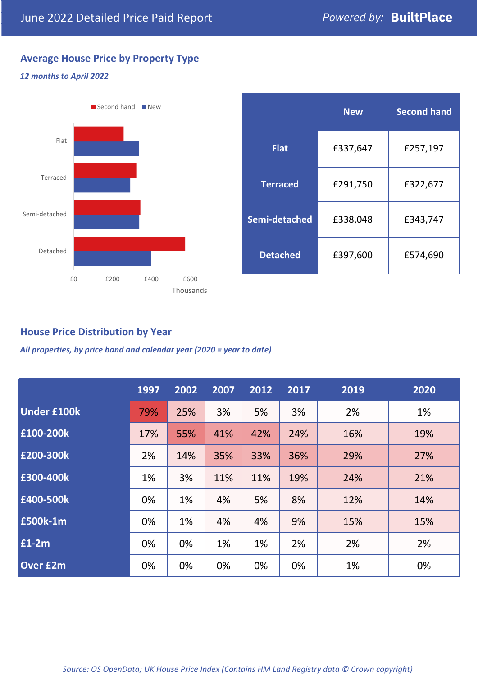## **Average House Price by Property Type**

#### *12 months to April 2022*



|                 | <b>New</b> | <b>Second hand</b> |  |  |
|-----------------|------------|--------------------|--|--|
| <b>Flat</b>     | £337,647   | £257,197           |  |  |
| <b>Terraced</b> | £291,750   | £322,677           |  |  |
| Semi-detached   | £338,048   | £343,747           |  |  |
| <b>Detached</b> | £397,600   | £574,690           |  |  |

## **House Price Distribution by Year**

*All properties, by price band and calendar year (2020 = year to date)*

|                    | 1997 | 2002 | 2007 | 2012 | 2017 | 2019 | 2020 |
|--------------------|------|------|------|------|------|------|------|
| <b>Under £100k</b> | 79%  | 25%  | 3%   | 5%   | 3%   | 2%   | 1%   |
| £100-200k          | 17%  | 55%  | 41%  | 42%  | 24%  | 16%  | 19%  |
| E200-300k          | 2%   | 14%  | 35%  | 33%  | 36%  | 29%  | 27%  |
| £300-400k          | 1%   | 3%   | 11%  | 11%  | 19%  | 24%  | 21%  |
| £400-500k          | 0%   | 1%   | 4%   | 5%   | 8%   | 12%  | 14%  |
| £500k-1m           | 0%   | 1%   | 4%   | 4%   | 9%   | 15%  | 15%  |
| £1-2m              | 0%   | 0%   | 1%   | 1%   | 2%   | 2%   | 2%   |
| <b>Over £2m</b>    | 0%   | 0%   | 0%   | 0%   | 0%   | 1%   | 0%   |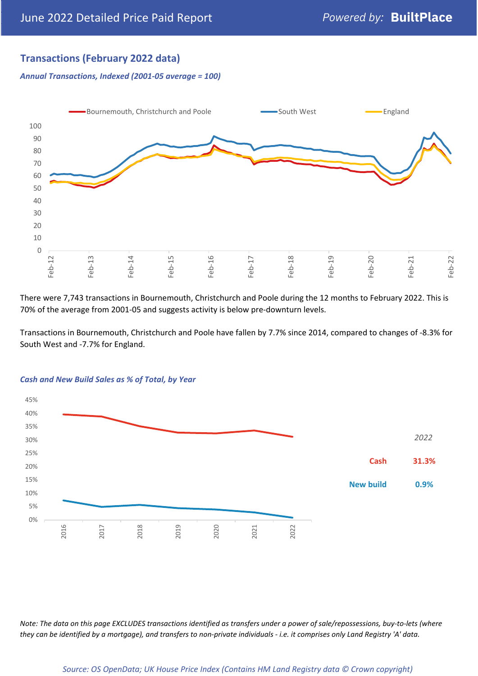## **Transactions (February 2022 data)**

*Annual Transactions, Indexed (2001-05 average = 100)*



There were 7,743 transactions in Bournemouth, Christchurch and Poole during the 12 months to February 2022. This is 70% of the average from 2001-05 and suggests activity is below pre-downturn levels.

Transactions in Bournemouth, Christchurch and Poole have fallen by 7.7% since 2014, compared to changes of -8.3% for South West and -7.7% for England.



#### *Cash and New Build Sales as % of Total, by Year*

*Note: The data on this page EXCLUDES transactions identified as transfers under a power of sale/repossessions, buy-to-lets (where they can be identified by a mortgage), and transfers to non-private individuals - i.e. it comprises only Land Registry 'A' data.*